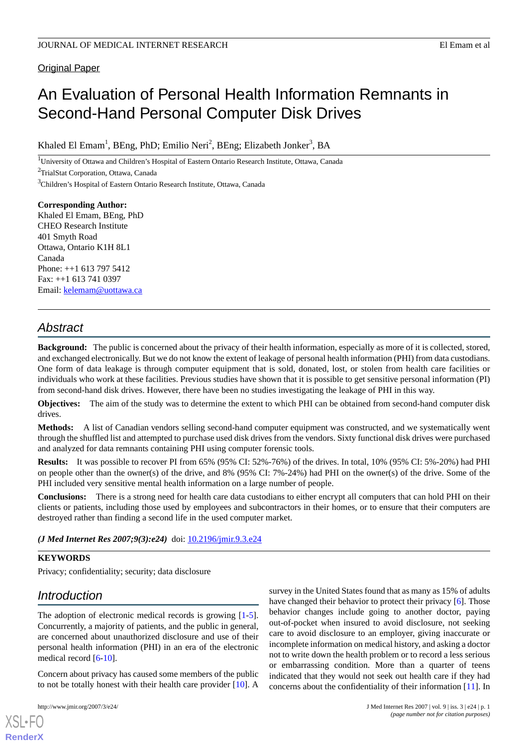## Original Paper

# An Evaluation of Personal Health Information Remnants in Second-Hand Personal Computer Disk Drives

Khaled El Emam<sup>1</sup>, BEng, PhD; Emilio Neri<sup>2</sup>, BEng; Elizabeth Jonker<sup>3</sup>, BA

<sup>1</sup>University of Ottawa and Children's Hospital of Eastern Ontario Research Institute, Ottawa, Canada

<sup>2</sup>TrialStat Corporation, Ottawa, Canada

<sup>3</sup>Children's Hospital of Eastern Ontario Research Institute, Ottawa, Canada

**Corresponding Author:** Khaled El Emam, BEng, PhD CHEO Research Institute 401 Smyth Road Ottawa, Ontario K1H 8L1 Canada Phone: ++1 613 797 5412 Fax: ++1 613 741 0397 Email: [kelemam@uottawa.ca](mailto:kelemam@uottawa.ca)

# *Abstract*

**Background:** The public is concerned about the privacy of their health information, especially as more of it is collected, stored, and exchanged electronically. But we do not know the extent of leakage of personal health information (PHI) from data custodians. One form of data leakage is through computer equipment that is sold, donated, lost, or stolen from health care facilities or individuals who work at these facilities. Previous studies have shown that it is possible to get sensitive personal information (PI) from second-hand disk drives. However, there have been no studies investigating the leakage of PHI in this way.

**Objectives:** The aim of the study was to determine the extent to which PHI can be obtained from second-hand computer disk drives.

**Methods:** A list of Canadian vendors selling second-hand computer equipment was constructed, and we systematically went through the shuffled list and attempted to purchase used disk drives from the vendors. Sixty functional disk drives were purchased and analyzed for data remnants containing PHI using computer forensic tools.

**Results:** It was possible to recover PI from 65% (95% CI: 52%-76%) of the drives. In total, 10% (95% CI: 5%-20%) had PHI on people other than the owner(s) of the drive, and 8% (95% CI: 7%-24%) had PHI on the owner(s) of the drive. Some of the PHI included very sensitive mental health information on a large number of people.

**Conclusions:** There is a strong need for health care data custodians to either encrypt all computers that can hold PHI on their clients or patients, including those used by employees and subcontractors in their homes, or to ensure that their computers are destroyed rather than finding a second life in the used computer market.

*(J Med Internet Res 2007;9(3):e24)* doi:  $10.2196/$ jmir.9.3.e24

### **KEYWORDS**

Privacy; confidentiality; security; data disclosure

# *Introduction*

The adoption of electronic medical records is growing  $[1-5]$  $[1-5]$ . Concurrently, a majority of patients, and the public in general, are concerned about unauthorized disclosure and use of their personal health information (PHI) in an era of the electronic medical record [\[6](#page-7-1)[-10](#page-7-2)].

Concern about privacy has caused some members of the public to not be totally honest with their health care provider [[10\]](#page-7-2). A

[XSL](http://www.w3.org/Style/XSL)•FO **[RenderX](http://www.renderx.com/)**

survey in the United States found that as many as 15% of adults have changed their behavior to protect their privacy [\[6](#page-7-1)]. Those behavior changes include going to another doctor, paying out-of-pocket when insured to avoid disclosure, not seeking care to avoid disclosure to an employer, giving inaccurate or incomplete information on medical history, and asking a doctor not to write down the health problem or to record a less serious or embarrassing condition. More than a quarter of teens indicated that they would not seek out health care if they had concerns about the confidentiality of their information [\[11](#page-7-3)]. In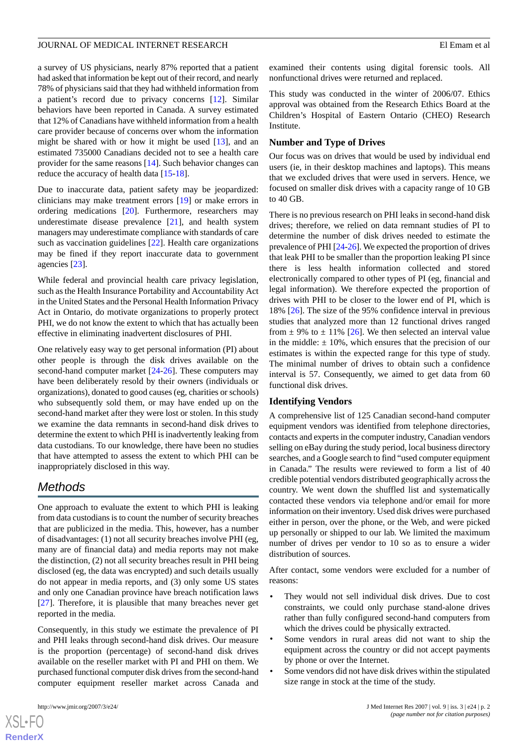a survey of US physicians, nearly 87% reported that a patient had asked that information be kept out of their record, and nearly 78% of physicians said that they had withheld information from a patient's record due to privacy concerns [\[12](#page-7-4)]. Similar behaviors have been reported in Canada. A survey estimated that 12% of Canadians have withheld information from a health care provider because of concerns over whom the information might be shared with or how it might be used [\[13](#page-7-5)], and an estimated 735000 Canadians decided not to see a health care provider for the same reasons [[14\]](#page-7-6). Such behavior changes can reduce the accuracy of health data [\[15](#page-7-7)-[18\]](#page-7-8).

Due to inaccurate data, patient safety may be jeopardized: clinicians may make treatment errors [\[19](#page-7-9)] or make errors in ordering medications [\[20](#page-7-10)]. Furthermore, researchers may underestimate disease prevalence [\[21](#page-7-11)], and health system managers may underestimate compliance with standards of care such as vaccination guidelines [\[22](#page-7-12)]. Health care organizations may be fined if they report inaccurate data to government agencies [[23\]](#page-7-13).

While federal and provincial health care privacy legislation, such as the Health Insurance Portability and Accountability Act in the United States and the Personal Health Information Privacy Act in Ontario, do motivate organizations to properly protect PHI, we do not know the extent to which that has actually been effective in eliminating inadvertent disclosures of PHI.

One relatively easy way to get personal information (PI) about other people is through the disk drives available on the second-hand computer market [[24-](#page-7-14)[26](#page-7-15)]. These computers may have been deliberately resold by their owners (individuals or organizations), donated to good causes (eg, charities or schools) who subsequently sold them, or may have ended up on the second-hand market after they were lost or stolen. In this study we examine the data remnants in second-hand disk drives to determine the extent to which PHI is inadvertently leaking from data custodians. To our knowledge, there have been no studies that have attempted to assess the extent to which PHI can be inappropriately disclosed in this way.

# *Methods*

One approach to evaluate the extent to which PHI is leaking from data custodians is to count the number of security breaches that are publicized in the media. This, however, has a number of disadvantages: (1) not all security breaches involve PHI (eg, many are of financial data) and media reports may not make the distinction, (2) not all security breaches result in PHI being disclosed (eg, the data was encrypted) and such details usually do not appear in media reports, and (3) only some US states and only one Canadian province have breach notification laws [[27\]](#page-7-16). Therefore, it is plausible that many breaches never get reported in the media.

Consequently, in this study we estimate the prevalence of PI and PHI leaks through second-hand disk drives. Our measure is the proportion (percentage) of second-hand disk drives available on the reseller market with PI and PHI on them. We purchased functional computer disk drives from the second-hand computer equipment reseller market across Canada and

examined their contents using digital forensic tools. All nonfunctional drives were returned and replaced.

This study was conducted in the winter of 2006/07. Ethics approval was obtained from the Research Ethics Board at the Children's Hospital of Eastern Ontario (CHEO) Research Institute.

### **Number and Type of Drives**

Our focus was on drives that would be used by individual end users (ie, in their desktop machines and laptops). This means that we excluded drives that were used in servers. Hence, we focused on smaller disk drives with a capacity range of 10 GB to 40 GB.

There is no previous research on PHI leaks in second-hand disk drives; therefore, we relied on data remnant studies of PI to determine the number of disk drives needed to estimate the prevalence of PHI [\[24](#page-7-14)[-26](#page-7-15)]. We expected the proportion of drives that leak PHI to be smaller than the proportion leaking PI since there is less health information collected and stored electronically compared to other types of PI (eg, financial and legal information). We therefore expected the proportion of drives with PHI to be closer to the lower end of PI, which is 18% [[26\]](#page-7-15). The size of the 95% confidence interval in previous studies that analyzed more than 12 functional drives ranged from  $\pm$  9% to  $\pm$  11% [\[26](#page-7-15)]. We then selected an interval value in the middle:  $\pm 10\%$ , which ensures that the precision of our estimates is within the expected range for this type of study. The minimal number of drives to obtain such a confidence interval is 57. Consequently, we aimed to get data from 60 functional disk drives.

### **Identifying Vendors**

A comprehensive list of 125 Canadian second-hand computer equipment vendors was identified from telephone directories, contacts and experts in the computer industry, Canadian vendors selling on eBay during the study period, local business directory searches, and a Google search to find "used computer equipment in Canada." The results were reviewed to form a list of 40 credible potential vendors distributed geographically across the country. We went down the shuffled list and systematically contacted these vendors via telephone and/or email for more information on their inventory. Used disk drives were purchased either in person, over the phone, or the Web, and were picked up personally or shipped to our lab. We limited the maximum number of drives per vendor to 10 so as to ensure a wider distribution of sources.

After contact, some vendors were excluded for a number of reasons:

- They would not sell individual disk drives. Due to cost constraints, we could only purchase stand-alone drives rather than fully configured second-hand computers from which the drives could be physically extracted.
- Some vendors in rural areas did not want to ship the equipment across the country or did not accept payments by phone or over the Internet.
- Some vendors did not have disk drives within the stipulated size range in stock at the time of the study.

 $XS$  $\cdot$ FC **[RenderX](http://www.renderx.com/)**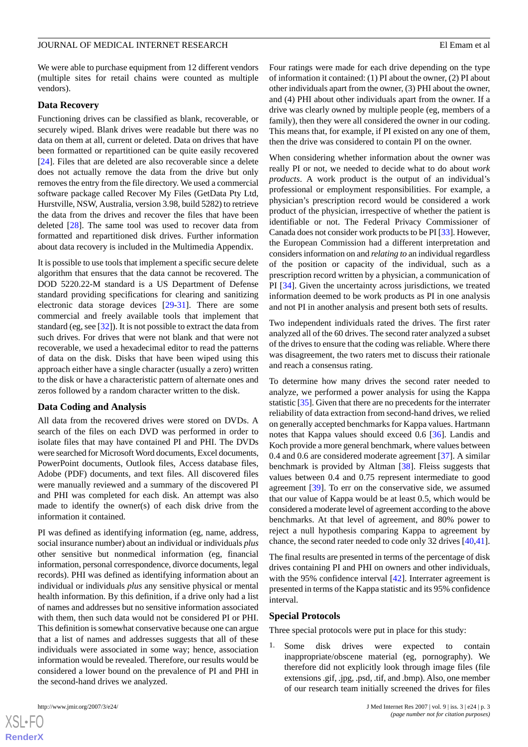We were able to purchase equipment from 12 different vendors (multiple sites for retail chains were counted as multiple vendors).

### **Data Recovery**

Functioning drives can be classified as blank, recoverable, or securely wiped. Blank drives were readable but there was no data on them at all, current or deleted. Data on drives that have been formatted or repartitioned can be quite easily recovered [[24\]](#page-7-14). Files that are deleted are also recoverable since a delete does not actually remove the data from the drive but only removes the entry from the file directory. We used a commercial software package called Recover My Files (GetData Pty Ltd, Hurstville, NSW, Australia, version 3.98, build 5282) to retrieve the data from the drives and recover the files that have been deleted [[28\]](#page-7-17). The same tool was used to recover data from formatted and repartitioned disk drives. Further information about data recovery is included in the Multimedia Appendix.

It is possible to use tools that implement a specific secure delete algorithm that ensures that the data cannot be recovered. The DOD 5220.22-M standard is a US Department of Defense standard providing specifications for clearing and sanitizing electronic data storage devices [\[29](#page-7-18)-[31\]](#page-8-0). There are some commercial and freely available tools that implement that standard (eg, see [[32\]](#page-8-1)). It is not possible to extract the data from such drives. For drives that were not blank and that were not recoverable, we used a hexadecimal editor to read the patterns of data on the disk. Disks that have been wiped using this approach either have a single character (usually a zero) written to the disk or have a characteristic pattern of alternate ones and zeros followed by a random character written to the disk.

### **Data Coding and Analysis**

All data from the recovered drives were stored on DVDs. A search of the files on each DVD was performed in order to isolate files that may have contained PI and PHI. The DVDs were searched for Microsoft Word documents, Excel documents, PowerPoint documents, Outlook files, Access database files, Adobe (PDF) documents, and text files. All discovered files were manually reviewed and a summary of the discovered PI and PHI was completed for each disk. An attempt was also made to identify the owner(s) of each disk drive from the information it contained.

PI was defined as identifying information (eg, name, address, social insurance number) about an individual or individuals *plus* other sensitive but nonmedical information (eg, financial information, personal correspondence, divorce documents, legal records). PHI was defined as identifying information about an individual or individuals *plus* any sensitive physical or mental health information. By this definition, if a drive only had a list of names and addresses but no sensitive information associated with them, then such data would not be considered PI or PHI. This definition is somewhat conservative because one can argue that a list of names and addresses suggests that all of these individuals were associated in some way; hence, association information would be revealed. Therefore, our results would be considered a lower bound on the prevalence of PI and PHI in the second-hand drives we analyzed.

Four ratings were made for each drive depending on the type of information it contained: (1) PI about the owner, (2) PI about other individuals apart from the owner, (3) PHI about the owner, and (4) PHI about other individuals apart from the owner. If a drive was clearly owned by multiple people (eg, members of a family), then they were all considered the owner in our coding. This means that, for example, if PI existed on any one of them, then the drive was considered to contain PI on the owner.

When considering whether information about the owner was really PI or not, we needed to decide what to do about *work products*. A work product is the output of an individual's professional or employment responsibilities. For example, a physician's prescription record would be considered a work product of the physician, irrespective of whether the patient is identifiable or not. The Federal Privacy Commissioner of Canada does not consider work products to be PI [[33\]](#page-8-2). However, the European Commission had a different interpretation and considers information on and *relating to* an individual regardless of the position or capacity of the individual, such as a prescription record written by a physician, a communication of PI [[34\]](#page-8-3). Given the uncertainty across jurisdictions, we treated information deemed to be work products as PI in one analysis and not PI in another analysis and present both sets of results.

Two independent individuals rated the drives. The first rater analyzed all of the 60 drives. The second rater analyzed a subset of the drives to ensure that the coding was reliable. Where there was disagreement, the two raters met to discuss their rationale and reach a consensus rating.

To determine how many drives the second rater needed to analyze, we performed a power analysis for using the Kappa statistic [[35](#page-8-4)]. Given that there are no precedents for the interrater reliability of data extraction from second-hand drives, we relied on generally accepted benchmarks for Kappa values. Hartmann notes that Kappa values should exceed 0.6 [[36\]](#page-8-5). Landis and Koch provide a more general benchmark, where values between 0.4 and 0.6 are considered moderate agreement [\[37](#page-8-6)]. A similar benchmark is provided by Altman [[38\]](#page-8-7). Fleiss suggests that values between 0.4 and 0.75 represent intermediate to good agreement [[39\]](#page-8-8). To err on the conservative side, we assumed that our value of Kappa would be at least 0.5, which would be considered a moderate level of agreement according to the above benchmarks. At that level of agreement, and 80% power to reject a null hypothesis comparing Kappa to agreement by chance, the second rater needed to code only 32 drives [\[40](#page-8-9),[41\]](#page-8-10).

The final results are presented in terms of the percentage of disk drives containing PI and PHI on owners and other individuals, with the 95% confidence interval [\[42](#page-8-11)]. Interrater agreement is presented in terms of the Kappa statistic and its 95% confidence interval.

#### **Special Protocols**

Three special protocols were put in place for this study:

1. Some disk drives were expected to contain inappropriate/obscene material (eg, pornography). We therefore did not explicitly look through image files (file extensions .gif, .jpg, .psd, .tif, and .bmp). Also, one member of our research team initially screened the drives for files

 $XS$ -FO **[RenderX](http://www.renderx.com/)**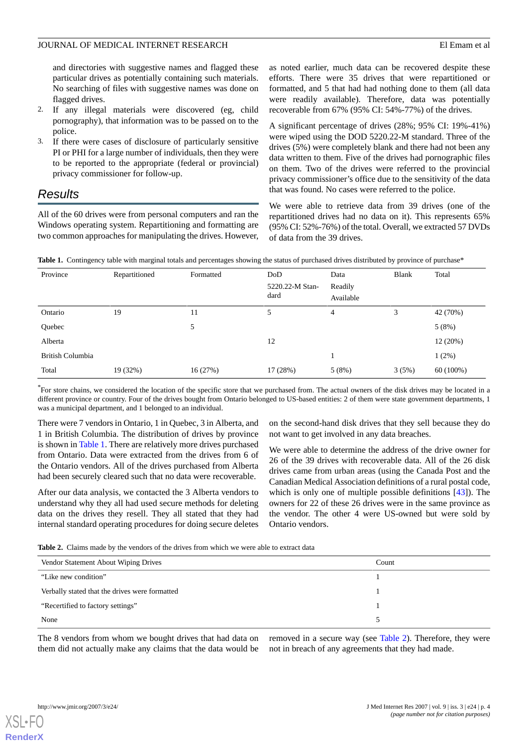and directories with suggestive names and flagged these particular drives as potentially containing such materials. No searching of files with suggestive names was done on flagged drives.

- 2. If any illegal materials were discovered (eg, child pornography), that information was to be passed on to the police.
- 3. If there were cases of disclosure of particularly sensitive PI or PHI for a large number of individuals, then they were to be reported to the appropriate (federal or provincial) privacy commissioner for follow-up.

# *Results*

<span id="page-3-0"></span>All of the 60 drives were from personal computers and ran the Windows operating system. Repartitioning and formatting are two common approaches for manipulating the drives. However, as noted earlier, much data can be recovered despite these efforts. There were 35 drives that were repartitioned or formatted, and 5 that had had nothing done to them (all data were readily available). Therefore, data was potentially recoverable from 67% (95% CI: 54%-77%) of the drives.

A significant percentage of drives (28%; 95% CI: 19%-41%) were wiped using the DOD 5220.22-M standard. Three of the drives (5%) were completely blank and there had not been any data written to them. Five of the drives had pornographic files on them. Two of the drives were referred to the provincial privacy commissioner's office due to the sensitivity of the data that was found. No cases were referred to the police.

We were able to retrieve data from 39 drives (one of the repartitioned drives had no data on it). This represents 65% (95% CI: 52%-76%) of the total. Overall, we extracted 57 DVDs of data from the 39 drives.

| Province         | Repartitioned | Formatted | DoD<br>5220.22-M Stan-<br>dard | Data<br>Readily<br>Available | Blank | Total       |
|------------------|---------------|-----------|--------------------------------|------------------------------|-------|-------------|
| Ontario          | 19            | 11        | 5                              | 4                            | 3     | 42 (70%)    |
| Quebec           |               | 5         |                                |                              |       | 5(8%)       |
| Alberta          |               |           | 12                             |                              |       | 12 (20%)    |
| British Columbia |               |           |                                |                              |       | $1(2\%)$    |
| Total            | 19 (32%)      | 16(27%)   | 17 (28%)                       | 5(8%)                        | 3(5%) | $60(100\%)$ |

Table 1. Contingency table with marginal totals and percentages showing the status of purchased drives distributed by province of purchase\*

\* For store chains, we considered the location of the specific store that we purchased from. The actual owners of the disk drives may be located in a different province or country. Four of the drives bought from Ontario belonged to US-based entities: 2 of them were state government departments, 1 was a municipal department, and 1 belonged to an individual.

There were 7 vendors in Ontario, 1 in Quebec, 3 in Alberta, and 1 in British Columbia. The distribution of drives by province is shown in [Table 1](#page-3-0). There are relatively more drives purchased from Ontario. Data were extracted from the drives from 6 of the Ontario vendors. All of the drives purchased from Alberta had been securely cleared such that no data were recoverable.

<span id="page-3-1"></span>After our data analysis, we contacted the 3 Alberta vendors to understand why they all had used secure methods for deleting data on the drives they resell. They all stated that they had internal standard operating procedures for doing secure deletes on the second-hand disk drives that they sell because they do not want to get involved in any data breaches.

We were able to determine the address of the drive owner for 26 of the 39 drives with recoverable data. All of the 26 disk drives came from urban areas (using the Canada Post and the Canadian Medical Association definitions of a rural postal code, which is only one of multiple possible definitions [[43\]](#page-8-12)). The owners for 22 of these 26 drives were in the same province as the vendor. The other 4 were US-owned but were sold by Ontario vendors.

```
Table 2. Claims made by the vendors of the drives from which we were able to extract data
```

| Vendor Statement About Wiping Drives           | Count |
|------------------------------------------------|-------|
| "Like new condition"                           |       |
| Verbally stated that the drives were formatted |       |
| "Recertified to factory settings"              |       |
| None                                           |       |

The 8 vendors from whom we bought drives that had data on them did not actually make any claims that the data would be

removed in a secure way (see [Table 2\)](#page-3-1). Therefore, they were not in breach of any agreements that they had made.



**[RenderX](http://www.renderx.com/)**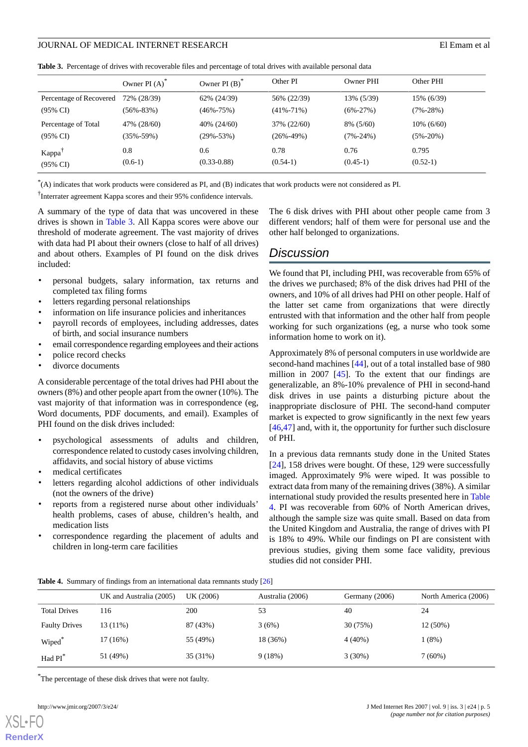<span id="page-4-0"></span>

|  |  | <b>Table 3.</b> Percentage of drives with recoverable files and percentage of total drives with available personal data |  |  |  |  |  |  |
|--|--|-------------------------------------------------------------------------------------------------------------------------|--|--|--|--|--|--|
|--|--|-------------------------------------------------------------------------------------------------------------------------|--|--|--|--|--|--|

|                         | Owner PI $(A)$  | Owner PI $(B)^*$ | Other PI        | Owner PHI      | Other PHI      |
|-------------------------|-----------------|------------------|-----------------|----------------|----------------|
| Percentage of Recovered | 72% (28/39)     | 62% (24/39)      | 56% (22/39)     | 13% (5/39)     | 15% (6/39)     |
| (95% CI)                | $(56\% - 83\%)$ | $(46\% - 75\%)$  | $(41\% - 71\%)$ | $(6\% - 27\%)$ | $(7\% - 28\%)$ |
| Percentage of Total     | 47% (28/60)     | 40% (24/60)      | 37% (22/60)     | 8% (5/60)      | $10\%$ (6/60)  |
| (95% CI)                | (35%-59%)       | $(29\% - 53\%)$  | $(26\% - 49\%)$ | $(7\% - 24\%)$ | $(5\% - 20\%)$ |
| Kappa                   | 0.8             | 0.6              | 0.78            | 0.76           | 0.795          |
| $(95\% \text{ CI})$     | $(0.6-1)$       | $(0.33 - 0.88)$  | $(0.54-1)$      | $(0.45-1)$     | $(0.52-1)$     |

\* (A) indicates that work products were considered as PI, and (B) indicates that work products were not considered as PI.

† Interrater agreement Kappa scores and their 95% confidence intervals.

A summary of the type of data that was uncovered in these drives is shown in [Table 3.](#page-4-0) All Kappa scores were above our threshold of moderate agreement. The vast majority of drives with data had PI about their owners (close to half of all drives) and about others. Examples of PI found on the disk drives included:

- personal budgets, salary information, tax returns and completed tax filing forms
- letters regarding personal relationships
- information on life insurance policies and inheritances
- payroll records of employees, including addresses, dates of birth, and social insurance numbers
- email correspondence regarding employees and their actions
- police record checks
- divorce documents

A considerable percentage of the total drives had PHI about the owners (8%) and other people apart from the owner (10%). The vast majority of that information was in correspondence (eg, Word documents, PDF documents, and email). Examples of PHI found on the disk drives included:

- psychological assessments of adults and children, correspondence related to custody cases involving children, affidavits, and social history of abuse victims
- medical certificates
- letters regarding alcohol addictions of other individuals (not the owners of the drive)
- reports from a registered nurse about other individuals' health problems, cases of abuse, children's health, and medication lists
- <span id="page-4-1"></span>correspondence regarding the placement of adults and children in long-term care facilities

The 6 disk drives with PHI about other people came from 3 different vendors; half of them were for personal use and the other half belonged to organizations.

# *Discussion*

We found that PI, including PHI, was recoverable from 65% of the drives we purchased; 8% of the disk drives had PHI of the owners, and 10% of all drives had PHI on other people. Half of the latter set came from organizations that were directly entrusted with that information and the other half from people working for such organizations (eg, a nurse who took some information home to work on it).

Approximately 8% of personal computers in use worldwide are second-hand machines [[44\]](#page-8-13), out of a total installed base of 980 million in 2007 [[45\]](#page-8-14). To the extent that our findings are generalizable, an 8%-10% prevalence of PHI in second-hand disk drives in use paints a disturbing picture about the inappropriate disclosure of PHI. The second-hand computer market is expected to grow significantly in the next few years [[46,](#page-8-15)[47\]](#page-8-16) and, with it, the opportunity for further such disclosure of PHI.

In a previous data remnants study done in the United States [[24\]](#page-7-14), 158 drives were bought. Of these, 129 were successfully imaged. Approximately 9% were wiped. It was possible to extract data from many of the remaining drives (38%). A similar international study provided the results presented here in [Table](#page-4-1) [4.](#page-4-1) PI was recoverable from 60% of North American drives, although the sample size was quite small. Based on data from the United Kingdom and Australia, the range of drives with PI is 18% to 49%. While our findings on PI are consistent with previous studies, giving them some face validity, previous studies did not consider PHI.

**Table 4.** Summary of findings from an international data remnants study [\[26\]](#page-7-15)

|                      | UK and Australia (2005) | UK (2006) | Australia (2006) | Germany (2006) | North America (2006) |
|----------------------|-------------------------|-----------|------------------|----------------|----------------------|
| <b>Total Drives</b>  | 116                     | 200       | 53               | 40             | 24                   |
| <b>Faulty Drives</b> | $13(11\%)$              | 87 (43%)  | 3(6%)            | 30 (75%)       | 12 (50%)             |
| Wiped <sup>*</sup>   | $17(16\%)$              | 55 (49%)  | 18 (36%)         | $4(40\%)$      | 1(8%)                |
| Had PI*              | 51 (49%)                | 35 (31%)  | 9(18%)           | 3(30%)         | $7(60\%)$            |

\*The percentage of these disk drives that were not faulty.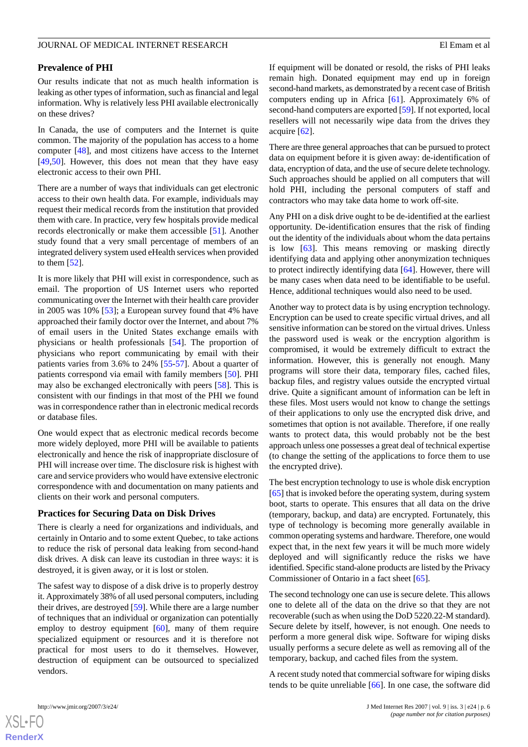### **Prevalence of PHI**

Our results indicate that not as much health information is leaking as other types of information, such as financial and legal information. Why is relatively less PHI available electronically on these drives?

In Canada, the use of computers and the Internet is quite common. The majority of the population has access to a home computer [\[48](#page-8-17)], and most citizens have access to the Internet [[49](#page-8-18)[,50](#page-8-19)]. However, this does not mean that they have easy electronic access to their own PHI.

There are a number of ways that individuals can get electronic access to their own health data. For example, individuals may request their medical records from the institution that provided them with care. In practice, very few hospitals provide medical records electronically or make them accessible [[51\]](#page-8-20). Another study found that a very small percentage of members of an integrated delivery system used eHealth services when provided to them  $[52]$  $[52]$ .

It is more likely that PHI will exist in correspondence, such as email. The proportion of US Internet users who reported communicating over the Internet with their health care provider in 2005 was 10% [[53\]](#page-8-22); a European survey found that 4% have approached their family doctor over the Internet, and about 7% of email users in the United States exchange emails with physicians or health professionals [\[54](#page-8-23)]. The proportion of physicians who report communicating by email with their patients varies from 3.6% to 24% [[55-](#page-8-24)[57\]](#page-8-25). About a quarter of patients correspond via email with family members [[50\]](#page-8-19). PHI may also be exchanged electronically with peers [\[58](#page-9-0)]. This is consistent with our findings in that most of the PHI we found was in correspondence rather than in electronic medical records or database files.

One would expect that as electronic medical records become more widely deployed, more PHI will be available to patients electronically and hence the risk of inappropriate disclosure of PHI will increase over time. The disclosure risk is highest with care and service providers who would have extensive electronic correspondence with and documentation on many patients and clients on their work and personal computers.

### **Practices for Securing Data on Disk Drives**

There is clearly a need for organizations and individuals, and certainly in Ontario and to some extent Quebec, to take actions to reduce the risk of personal data leaking from second-hand disk drives. A disk can leave its custodian in three ways: it is destroyed, it is given away, or it is lost or stolen.

The safest way to dispose of a disk drive is to properly destroy it. Approximately 38% of all used personal computers, including their drives, are destroyed [[59\]](#page-9-1). While there are a large number of techniques that an individual or organization can potentially employ to destroy equipment [\[60](#page-9-2)], many of them require specialized equipment or resources and it is therefore not practical for most users to do it themselves. However, destruction of equipment can be outsourced to specialized vendors.

If equipment will be donated or resold, the risks of PHI leaks remain high. Donated equipment may end up in foreign second-hand markets, as demonstrated by a recent case of British computers ending up in Africa [\[61](#page-9-3)]. Approximately 6% of second-hand computers are exported [\[59](#page-9-1)]. If not exported, local resellers will not necessarily wipe data from the drives they acquire [[62\]](#page-9-4).

There are three general approaches that can be pursued to protect data on equipment before it is given away: de-identification of data, encryption of data, and the use of secure delete technology. Such approaches should be applied on all computers that will hold PHI, including the personal computers of staff and contractors who may take data home to work off-site.

Any PHI on a disk drive ought to be de-identified at the earliest opportunity. De-identification ensures that the risk of finding out the identity of the individuals about whom the data pertains is low [[63\]](#page-9-5). This means removing or masking directly identifying data and applying other anonymization techniques to protect indirectly identifying data [\[64](#page-9-6)]. However, there will be many cases when data need to be identifiable to be useful. Hence, additional techniques would also need to be used.

Another way to protect data is by using encryption technology. Encryption can be used to create specific virtual drives, and all sensitive information can be stored on the virtual drives. Unless the password used is weak or the encryption algorithm is compromised, it would be extremely difficult to extract the information. However, this is generally not enough. Many programs will store their data, temporary files, cached files, backup files, and registry values outside the encrypted virtual drive. Quite a significant amount of information can be left in these files. Most users would not know to change the settings of their applications to only use the encrypted disk drive, and sometimes that option is not available. Therefore, if one really wants to protect data, this would probably not be the best approach unless one possesses a great deal of technical expertise (to change the setting of the applications to force them to use the encrypted drive).

The best encryption technology to use is whole disk encryption [[65\]](#page-9-7) that is invoked before the operating system, during system boot, starts to operate. This ensures that all data on the drive (temporary, backup, and data) are encrypted. Fortunately, this type of technology is becoming more generally available in common operating systems and hardware. Therefore, one would expect that, in the next few years it will be much more widely deployed and will significantly reduce the risks we have identified. Specific stand-alone products are listed by the Privacy Commissioner of Ontario in a fact sheet [\[65](#page-9-7)].

The second technology one can use is secure delete. This allows one to delete all of the data on the drive so that they are not recoverable (such as when using the DoD 5220.22-M standard). Secure delete by itself, however, is not enough. One needs to perform a more general disk wipe. Software for wiping disks usually performs a secure delete as well as removing all of the temporary, backup, and cached files from the system.

A recent study noted that commercial software for wiping disks tends to be quite unreliable [[66\]](#page-9-8). In one case, the software did

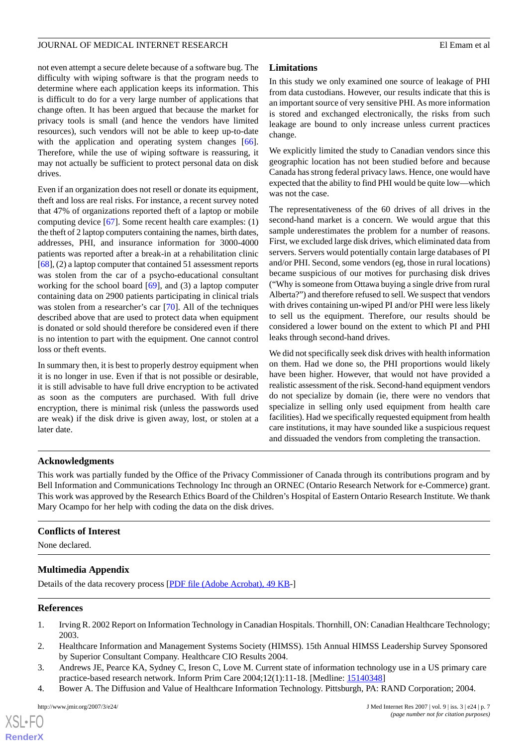not even attempt a secure delete because of a software bug. The difficulty with wiping software is that the program needs to determine where each application keeps its information. This is difficult to do for a very large number of applications that change often. It has been argued that because the market for privacy tools is small (and hence the vendors have limited resources), such vendors will not be able to keep up-to-date with the application and operating system changes [[66\]](#page-9-8). Therefore, while the use of wiping software is reassuring, it may not actually be sufficient to protect personal data on disk drives.

Even if an organization does not resell or donate its equipment, theft and loss are real risks. For instance, a recent survey noted that 47% of organizations reported theft of a laptop or mobile computing device [[67\]](#page-9-9). Some recent health care examples: (1) the theft of 2 laptop computers containing the names, birth dates, addresses, PHI, and insurance information for 3000-4000 patients was reported after a break-in at a rehabilitation clinic [[68\]](#page-9-10), (2) a laptop computer that contained 51 assessment reports was stolen from the car of a psycho-educational consultant working for the school board [\[69](#page-9-11)], and (3) a laptop computer containing data on 2900 patients participating in clinical trials was stolen from a researcher's car [\[70](#page-9-12)]. All of the techniques described above that are used to protect data when equipment is donated or sold should therefore be considered even if there is no intention to part with the equipment. One cannot control loss or theft events.

In summary then, it is best to properly destroy equipment when it is no longer in use. Even if that is not possible or desirable, it is still advisable to have full drive encryption to be activated as soon as the computers are purchased. With full drive encryption, there is minimal risk (unless the passwords used are weak) if the disk drive is given away, lost, or stolen at a later date.

## **Limitations**

In this study we only examined one source of leakage of PHI from data custodians. However, our results indicate that this is an important source of very sensitive PHI. As more information is stored and exchanged electronically, the risks from such leakage are bound to only increase unless current practices change.

We explicitly limited the study to Canadian vendors since this geographic location has not been studied before and because Canada has strong federal privacy laws. Hence, one would have expected that the ability to find PHI would be quite low—which was not the case.

The representativeness of the 60 drives of all drives in the second-hand market is a concern. We would argue that this sample underestimates the problem for a number of reasons. First, we excluded large disk drives, which eliminated data from servers. Servers would potentially contain large databases of PI and/or PHI. Second, some vendors (eg, those in rural locations) became suspicious of our motives for purchasing disk drives ("Why is someone from Ottawa buying a single drive from rural Alberta?") and therefore refused to sell. We suspect that vendors with drives containing un-wiped PI and/or PHI were less likely to sell us the equipment. Therefore, our results should be considered a lower bound on the extent to which PI and PHI leaks through second-hand drives.

We did not specifically seek disk drives with health information on them. Had we done so, the PHI proportions would likely have been higher. However, that would not have provided a realistic assessment of the risk. Second-hand equipment vendors do not specialize by domain (ie, there were no vendors that specialize in selling only used equipment from health care facilities). Had we specifically requested equipment from health care institutions, it may have sounded like a suspicious request and dissuaded the vendors from completing the transaction.

# **Acknowledgments**

This work was partially funded by the Office of the Privacy Commissioner of Canada through its contributions program and by Bell Information and Communications Technology Inc through an ORNEC (Ontario Research Network for e-Commerce) grant. This work was approved by the Research Ethics Board of the Children's Hospital of Eastern Ontario Research Institute. We thank Mary Ocampo for her help with coding the data on the disk drives.

# **Conflicts of Interest**

None declared.

# <span id="page-6-0"></span>**Multimedia Appendix**

Details of the data recovery process [\[PDF file \(Adobe Acrobat\), 49 KB-](https://jmir.org/api/download?alt_name=jmir_v9i3e24_app1.pdf&filename=d89ee96a53bae169ad541a4825d449bf.pdf)]

### **References**

- 1. Irving R. 2002 Report on Information Technology in Canadian Hospitals. Thornhill, ON: Canadian Healthcare Technology; 2003.
- 2. Healthcare Information and Management Systems Society (HIMSS). 15th Annual HIMSS Leadership Survey Sponsored by Superior Consultant Company. Healthcare CIO Results 2004.
- 3. Andrews JE, Pearce KA, Sydney C, Ireson C, Love M. Current state of information technology use in a US primary care practice-based research network. Inform Prim Care 2004;12(1):11-18. [Medline: [15140348](http://www.ncbi.nlm.nih.gov/entrez/query.fcgi?cmd=Retrieve&db=PubMed&list_uids=15140348&dopt=Abstract)]
- 4. Bower A. The Diffusion and Value of Healthcare Information Technology. Pittsburgh, PA: RAND Corporation; 2004.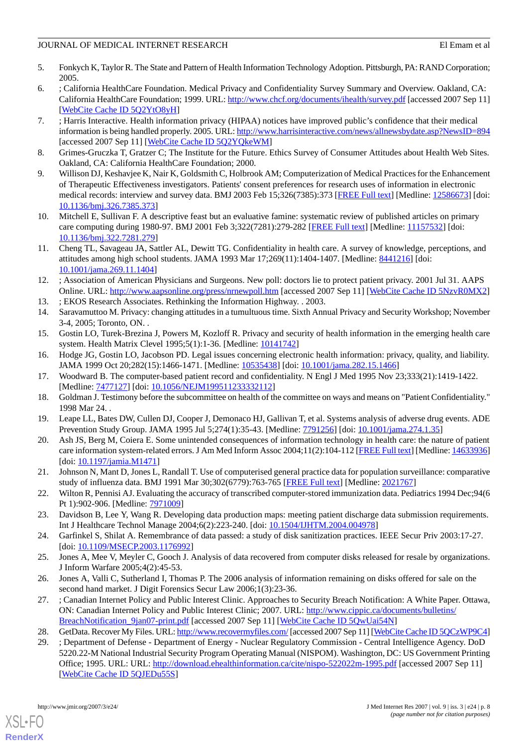### JOURNAL OF MEDICAL INTERNET RESEARCH ELEMENT OF MEDICAL INTERNET RESEARCH

- <span id="page-7-0"></span>5. Fonkych K, Taylor R. The State and Pattern of Health Information Technology Adoption. Pittsburgh, PA: RAND Corporation; 2005.
- <span id="page-7-1"></span>6. ; California HealthCare Foundation. Medical Privacy and Confidentiality Survey Summary and Overview. Oakland, CA: California HealthCare Foundation; 1999. URL:<http://www.chcf.org/documents/ihealth/survey.pdf> [accessed 2007 Sep 11] [[WebCite Cache ID 5Q2YtO8yH](http://www.webcitation.org/

                                    5Q2YtO8yH)]
- 7. ; Harris Interactive. Health information privacy (HIPAA) notices have improved public's confidence that their medical information is being handled properly. 2005. URL:<http://www.harrisinteractive.com/news/allnewsbydate.asp?NewsID=894> [accessed 2007 Sep 11] [\[WebCite Cache ID 5Q2YQkeWM\]](http://www.webcitation.org/

                                    5Q2YQkeWM)
- 8. Grimes-Gruczka T, Gratzer C; The Institute for the Future. Ethics Survey of Consumer Attitudes about Health Web Sites. Oakland, CA: California HealthCare Foundation; 2000.
- 9. Willison DJ, Keshavjee K, Nair K, Goldsmith C, Holbrook AM; Computerization of Medical Practices for the Enhancement of Therapeutic Effectiveness investigators. Patients' consent preferences for research uses of information in electronic medical records: interview and survey data. BMJ 2003 Feb 15;326(7385):373 [[FREE Full text\]](http://bmj.com/cgi/pmidlookup?view=long&pmid=12586673) [Medline: [12586673](http://www.ncbi.nlm.nih.gov/entrez/query.fcgi?cmd=Retrieve&db=PubMed&list_uids=12586673&dopt=Abstract)] [doi: [10.1136/bmj.326.7385.373\]](http://dx.doi.org/10.1136/bmj.326.7385.373)
- <span id="page-7-3"></span><span id="page-7-2"></span>10. Mitchell E, Sullivan F. A descriptive feast but an evaluative famine: systematic review of published articles on primary care computing during 1980-97. BMJ 2001 Feb 3;322(7281):279-282 [\[FREE Full text\]](http://bmj.com/cgi/pmidlookup?view=long&pmid=11157532) [Medline: [11157532](http://www.ncbi.nlm.nih.gov/entrez/query.fcgi?cmd=Retrieve&db=PubMed&list_uids=11157532&dopt=Abstract)] [doi: [10.1136/bmj.322.7281.279\]](http://dx.doi.org/10.1136/bmj.322.7281.279)
- <span id="page-7-4"></span>11. Cheng TL, Savageau JA, Sattler AL, Dewitt TG. Confidentiality in health care. A survey of knowledge, perceptions, and attitudes among high school students. JAMA 1993 Mar 17;269(11):1404-1407. [Medline: [8441216\]](http://www.ncbi.nlm.nih.gov/entrez/query.fcgi?cmd=Retrieve&db=PubMed&list_uids=8441216&dopt=Abstract) [doi: [10.1001/jama.269.11.1404\]](http://dx.doi.org/10.1001/jama.269.11.1404)
- <span id="page-7-6"></span><span id="page-7-5"></span>12. ; Association of American Physicians and Surgeons. New poll: doctors lie to protect patient privacy. 2001 Jul 31. AAPS Online. URL:<http://www.aapsonline.org/press/nrnewpoll.htm> [accessed 2007 Sep 11] [[WebCite Cache ID 5NzvR0MX2](http://www.webcitation.org/

                                    5NzvR0MX2)]
- <span id="page-7-7"></span>13. ; EKOS Research Associates. Rethinking the Information Highway. . 2003.
- 14. Saravamuttoo M. Privacy: changing attitudes in a tumultuous time. Sixth Annual Privacy and Security Workshop; November 3-4, 2005; Toronto, ON. .
- 15. Gostin LO, Turek-Brezina J, Powers M, Kozloff R. Privacy and security of health information in the emerging health care system. Health Matrix Clevel 1995;5(1):1-36. [Medline: [10141742\]](http://www.ncbi.nlm.nih.gov/entrez/query.fcgi?cmd=Retrieve&db=PubMed&list_uids=10141742&dopt=Abstract)
- <span id="page-7-8"></span>16. Hodge JG, Gostin LO, Jacobson PD. Legal issues concerning electronic health information: privacy, quality, and liability. JAMA 1999 Oct 20;282(15):1466-1471. [Medline: [10535438\]](http://www.ncbi.nlm.nih.gov/entrez/query.fcgi?cmd=Retrieve&db=PubMed&list_uids=10535438&dopt=Abstract) [doi: [10.1001/jama.282.15.1466](http://dx.doi.org/10.1001/jama.282.15.1466)]
- <span id="page-7-9"></span>17. Woodward B. The computer-based patient record and confidentiality. N Engl J Med 1995 Nov 23;333(21):1419-1422. [Medline: [7477127\]](http://www.ncbi.nlm.nih.gov/entrez/query.fcgi?cmd=Retrieve&db=PubMed&list_uids=7477127&dopt=Abstract) [doi: [10.1056/NEJM199511233332112](http://dx.doi.org/10.1056/NEJM199511233332112)]
- <span id="page-7-10"></span>18. Goldman J. Testimony before the subcommittee on health of the committee on ways and means on "Patient Confidentiality." 1998 Mar 24. .
- <span id="page-7-11"></span>19. Leape LL, Bates DW, Cullen DJ, Cooper J, Demonaco HJ, Gallivan T, et al. Systems analysis of adverse drug events. ADE Prevention Study Group. JAMA 1995 Jul 5;274(1):35-43. [Medline: [7791256\]](http://www.ncbi.nlm.nih.gov/entrez/query.fcgi?cmd=Retrieve&db=PubMed&list_uids=7791256&dopt=Abstract) [doi: [10.1001/jama.274.1.35](http://dx.doi.org/10.1001/jama.274.1.35)]
- <span id="page-7-12"></span>20. Ash JS, Berg M, Coiera E. Some unintended consequences of information technology in health care: the nature of patient care information system-related errors. J Am Med Inform Assoc 2004;11(2):104-112 [[FREE Full text\]](http://www.pubmedcentral.nih.gov/articlerender.fcgi?tool=pubmed&pubmedid=14633936) [Medline: [14633936\]](http://www.ncbi.nlm.nih.gov/entrez/query.fcgi?cmd=Retrieve&db=PubMed&list_uids=14633936&dopt=Abstract) [doi: [10.1197/jamia.M1471\]](http://dx.doi.org/10.1197/jamia.M1471)
- <span id="page-7-13"></span>21. Johnson N, Mant D, Jones L, Randall T. Use of computerised general practice data for population surveillance: comparative study of influenza data. BMJ 1991 Mar 30;302(6779):763-765 [[FREE Full text](http://www.pubmedcentral.nih.gov/articlerender.fcgi?tool=pubmed&pubmedid=2021767)] [Medline: [2021767](http://www.ncbi.nlm.nih.gov/entrez/query.fcgi?cmd=Retrieve&db=PubMed&list_uids=2021767&dopt=Abstract)]
- <span id="page-7-14"></span>22. Wilton R, Pennisi AJ. Evaluating the accuracy of transcribed computer-stored immunization data. Pediatrics 1994 Dec;94(6 Pt 1):902-906. [Medline: [7971009\]](http://www.ncbi.nlm.nih.gov/entrez/query.fcgi?cmd=Retrieve&db=PubMed&list_uids=7971009&dopt=Abstract)
- <span id="page-7-15"></span>23. Davidson B, Lee Y, Wang R. Developing data production maps: meeting patient discharge data submission requirements. Int J Healthcare Technol Manage 2004;6(2):223-240. [doi: [10.1504/IJHTM.2004.004978](http://dx.doi.org/10.1504/IJHTM.2004.004978)]
- <span id="page-7-16"></span>24. Garfinkel S, Shilat A. Remembrance of data passed: a study of disk sanitization practices. IEEE Secur Priv 2003:17-27. [doi: [10.1109/MSECP.2003.1176992\]](http://dx.doi.org/10.1109/MSECP.2003.1176992)
- 25. Jones A, Mee V, Meyler C, Gooch J. Analysis of data recovered from computer disks released for resale by organizations. J Inform Warfare 2005;4(2):45-53.
- <span id="page-7-18"></span><span id="page-7-17"></span>26. Jones A, Valli C, Sutherland I, Thomas P. The 2006 analysis of information remaining on disks offered for sale on the second hand market. J Digit Forensics Secur Law 2006;1(3):23-36.
- 27. ; Canadian Internet Policy and Public Interest Clinic. Approaches to Security Breach Notification: A White Paper. Ottawa, ON: Canadian Internet Policy and Public Interest Clinic; 2007. URL: [http://www.cippic.ca/documents/bulletins/](http://www.cippic.ca/documents/bulletins/BreachNotification_9jan07-print.pdf) BreachNotification 9jan07-print.pdf [accessed 2007 Sep 11] [[WebCite Cache ID 5QwUai54N\]](http://www.webcitation.org/

                                    5QwUai54N)
- 28. GetData. Recover My Files. URL:<http://www.recovermyfiles.com/> [accessed 2007 Sep 11] [[WebCite Cache ID 5QCzWP9C4\]](http://www.webcitation.org/

                    5QCzWP9C4)
- 29. ; Department of Defense Department of Energy Nuclear Regulatory Commission Central Intelligence Agency. DoD 5220.22-M National Industrial Security Program Operating Manual (NISPOM). Washington, DC: US Government Printing Office; 1995. URL: URL:<http://download.ehealthinformation.ca/cite/nispo-522022m-1995.pdf> [accessed 2007 Sep 11] [[WebCite Cache ID 5QJEDu55S\]](http://www.webcitation.org/

                                    5QJEDu55S)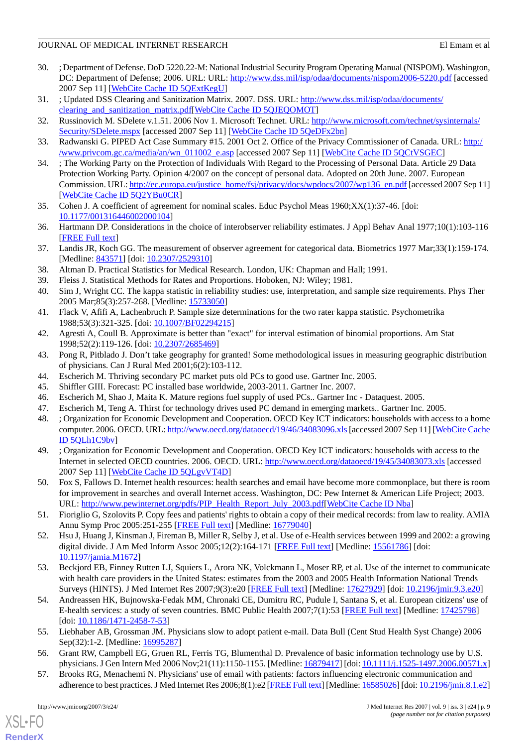# JOURNAL OF MEDICAL INTERNET RESEARCH ELEMENT OF MEDICAL INTERNET RESEARCH

- 30. ; Department of Defense. DoD 5220.22-M: National Industrial Security Program Operating Manual (NISPOM). Washington, DC: Department of Defense; 2006. URL: URL: <http://www.dss.mil/isp/odaa/documents/nispom2006-5220.pdf> [accessed 2007 Sep 11] [[WebCite Cache ID 5QExtKegU](http://www.webcitation.org/

                                    5QExtKegU)]
- <span id="page-8-1"></span><span id="page-8-0"></span>31. ; Updated DSS Clearing and Sanitization Matrix. 2007. DSS. URL: [http://www.dss.mil/isp/odaa/documents/](http://www.dss.mil/isp/odaa/documents/clearing_and_sanitization_matrix.pdf) [clearing\\_and\\_sanitization\\_matrix.pdf](http://www.dss.mil/isp/odaa/documents/clearing_and_sanitization_matrix.pdf)[[WebCite Cache ID 5QJEQOMOT\]](http://www.webcitation.org/

                                    5QJEQOMOT)
- <span id="page-8-2"></span>32. Russinovich M. SDelete v.1.51. 2006 Nov 1. Microsoft Technet. URL: [http://www.microsoft.com/technet/sysinternals/](http://www.microsoft.com/technet/sysinternals/Security/SDelete.mspx) [Security/SDelete.mspx](http://www.microsoft.com/technet/sysinternals/Security/SDelete.mspx) [accessed 2007 Sep 11] [[WebCite Cache ID 5QeDFx2bn](http://www.webcitation.org/

                                    5QeDFx2bn)]
- <span id="page-8-3"></span>33. Radwanski G. PIPED Act Case Summary #15. 2001 Oct 2. Office of the Privacy Commissioner of Canada. URL: [http:/](http://www.privcom.gc.ca/media/an/wn_011002_e.asp) [/www.privcom.gc.ca/media/an/wn\\_011002\\_e.asp](http://www.privcom.gc.ca/media/an/wn_011002_e.asp) [accessed 2007 Sep 11] [\[WebCite Cache ID 5QCtVSGEC\]](http://www.webcitation.org/

                                    5QCtVSGEC)
- 34. ; The Working Party on the Protection of Individuals With Regard to the Processing of Personal Data. Article 29 Data Protection Working Party. Opinion 4/2007 on the concept of personal data. Adopted on 20th June. 2007. European Commission. URL: [http://ec.europa.eu/justice\\_home/fsj/privacy/docs/wpdocs/2007/wp136\\_en.pdf](http://ec.europa.eu/justice_home/fsj/privacy/docs/wpdocs/2007/wp136_en.pdf) [accessed 2007 Sep 11] [[WebCite Cache ID 5Q2YBu0CR](http://www.webcitation.org/

                                    5Q2YBu0CR)]
- <span id="page-8-5"></span><span id="page-8-4"></span>35. Cohen J. A coefficient of agreement for nominal scales. Educ Psychol Meas 1960;XX(1):37-46. [doi: [10.1177/001316446002000104\]](http://dx.doi.org/10.1177/001316446002000104)
- <span id="page-8-6"></span>36. Hartmann DP. Considerations in the choice of interobserver reliability estimates. J Appl Behav Anal 1977;10(1):103-116 [[FREE Full text](http://www.pubmedcentral.nih.gov/articlerender.fcgi?tool=pubmed&pubmedid=16795538)]
- <span id="page-8-8"></span><span id="page-8-7"></span>37. Landis JR, Koch GG. The measurement of observer agreement for categorical data. Biometrics 1977 Mar;33(1):159-174. [Medline: [843571](http://www.ncbi.nlm.nih.gov/entrez/query.fcgi?cmd=Retrieve&db=PubMed&list_uids=843571&dopt=Abstract)] [doi: [10.2307/2529310\]](http://dx.doi.org/10.2307/2529310)
- <span id="page-8-9"></span>38. Altman D. Practical Statistics for Medical Research. London, UK: Chapman and Hall; 1991.
- <span id="page-8-10"></span>39. Fleiss J. Statistical Methods for Rates and Proportions. Hoboken, NJ: Wiley; 1981.
- <span id="page-8-11"></span>40. Sim J, Wright CC. The kappa statistic in reliability studies: use, interpretation, and sample size requirements. Phys Ther 2005 Mar;85(3):257-268. [Medline: [15733050](http://www.ncbi.nlm.nih.gov/entrez/query.fcgi?cmd=Retrieve&db=PubMed&list_uids=15733050&dopt=Abstract)]
- <span id="page-8-12"></span>41. Flack V, Afifi A, Lachenbruch P. Sample size determinations for the two rater kappa statistic. Psychometrika 1988;53(3):321-325. [doi: [10.1007/BF02294215\]](http://dx.doi.org/10.1007/BF02294215)
- <span id="page-8-13"></span>42. Agresti A, Coull B. Approximate is better than "exact" for interval estimation of binomial proportions. Am Stat 1998;52(2):119-126. [doi: [10.2307/2685469\]](http://dx.doi.org/10.2307/2685469)
- <span id="page-8-15"></span><span id="page-8-14"></span>43. Pong R, Pitblado J. Don't take geography for granted! Some methodological issues in measuring geographic distribution of physicians. Can J Rural Med 2001;6(2):103-112.
- <span id="page-8-17"></span><span id="page-8-16"></span>44. Escherich M. Thriving secondary PC market puts old PCs to good use. Gartner Inc. 2005.
- 45. Shiffler GIII. Forecast: PC installed base worldwide, 2003-2011. Gartner Inc. 2007.
- 46. Escherich M, Shao J, Maita K. Mature regions fuel supply of used PCs.. Gartner Inc Dataquest. 2005.
- <span id="page-8-18"></span>47. Escherich M, Teng A. Thirst for technology drives used PC demand in emerging markets.. Gartner Inc. 2005.
- 48. ; Organization for Economic Development and Cooperation. OECD Key ICT indicators: households with access to a home computer. 2006. OECD. URL:<http://www.oecd.org/dataoecd/19/46/34083096.xls> [accessed 2007 Sep 11] [\[WebCite Cache](http://www.webcitation.org/

                                    5QLh1C9bv) [ID 5QLh1C9bv](http://www.webcitation.org/

                                    5QLh1C9bv)]
- <span id="page-8-20"></span><span id="page-8-19"></span>49. ; Organization for Economic Development and Cooperation. OECD Key ICT indicators: households with access to the Internet in selected OECD countries. 2006. OECD. URL: <http://www.oecd.org/dataoecd/19/45/34083073.xls> [accessed 2007 Sep 11] [[WebCite Cache ID 5QLgvVT4D](http://www.webcitation.org/

                                    5QLgvVT4D)]
- <span id="page-8-21"></span>50. Fox S, Fallows D. Internet health resources: health searches and email have become more commonplace, but there is room for improvement in searches and overall Internet access. Washington, DC: Pew Internet & American Life Project; 2003. URL: [http://www.pewinternet.org/pdfs/PIP\\_Health\\_Report\\_July\\_2003.pdf](http://www.pewinternet.org/pdfs/PIP_Health_Report_July_2003.pdf)[[WebCite Cache ID Nba](http://www.webcitation.org/

                                    Nba)]
- <span id="page-8-22"></span>51. Fioriglio G, Szolovits P. Copy fees and patients' rights to obtain a copy of their medical records: from law to reality. AMIA Annu Symp Proc 2005:251-255 [[FREE Full text](http://www.pubmedcentral.nih.gov/articlerender.fcgi?tool=pubmed&pubmedid=16779040)] [Medline: [16779040](http://www.ncbi.nlm.nih.gov/entrez/query.fcgi?cmd=Retrieve&db=PubMed&list_uids=16779040&dopt=Abstract)]
- <span id="page-8-23"></span>52. Hsu J, Huang J, Kinsman J, Fireman B, Miller R, Selby J, et al. Use of e-Health services between 1999 and 2002: a growing digital divide. J Am Med Inform Assoc 2005;12(2):164-171 [[FREE Full text](http://www.pubmedcentral.nih.gov/articlerender.fcgi?tool=pubmed&pubmedid=15561786)] [Medline: [15561786\]](http://www.ncbi.nlm.nih.gov/entrez/query.fcgi?cmd=Retrieve&db=PubMed&list_uids=15561786&dopt=Abstract) [doi: [10.1197/jamia.M1672](http://dx.doi.org/10.1197/jamia.M1672)]
- <span id="page-8-24"></span>53. Beckjord EB, Finney Rutten LJ, Squiers L, Arora NK, Volckmann L, Moser RP, et al. Use of the internet to communicate with health care providers in the United States: estimates from the 2003 and 2005 Health Information National Trends Surveys (HINTS). J Med Internet Res 2007;9(3):e20 [[FREE Full text](http://www.jmir.org/2007/3/e20/)] [Medline: [17627929](http://www.ncbi.nlm.nih.gov/entrez/query.fcgi?cmd=Retrieve&db=PubMed&list_uids=17627929&dopt=Abstract)] [doi: [10.2196/jmir.9.3.e20\]](http://dx.doi.org/10.2196/jmir.9.3.e20)
- <span id="page-8-25"></span>54. Andreassen HK, Bujnowska-Fedak MM, Chronaki CE, Dumitru RC, Pudule I, Santana S, et al. European citizens' use of E-health services: a study of seven countries. BMC Public Health 2007;7(1):53 [[FREE Full text](http://www.biomedcentral.com/1471-2458/7/53)] [Medline: [17425798](http://www.ncbi.nlm.nih.gov/entrez/query.fcgi?cmd=Retrieve&db=PubMed&list_uids=17425798&dopt=Abstract)] [doi: [10.1186/1471-2458-7-53](http://dx.doi.org/10.1186/1471-2458-7-53)]
- 55. Liebhaber AB, Grossman JM. Physicians slow to adopt patient e-mail. Data Bull (Cent Stud Health Syst Change) 2006 Sep(32):1-2. [Medline: [16995287](http://www.ncbi.nlm.nih.gov/entrez/query.fcgi?cmd=Retrieve&db=PubMed&list_uids=16995287&dopt=Abstract)]
- 56. Grant RW, Campbell EG, Gruen RL, Ferris TG, Blumenthal D. Prevalence of basic information technology use by U.S. physicians. J Gen Intern Med 2006 Nov;21(11):1150-1155. [Medline: [16879417\]](http://www.ncbi.nlm.nih.gov/entrez/query.fcgi?cmd=Retrieve&db=PubMed&list_uids=16879417&dopt=Abstract) [doi: [10.1111/j.1525-1497.2006.00571.x\]](http://dx.doi.org/10.1111/j.1525-1497.2006.00571.x)
- 57. Brooks RG, Menachemi N. Physicians' use of email with patients: factors influencing electronic communication and adherence to best practices. J Med Internet Res 2006;8(1):e2 [\[FREE Full text\]](http://www.jmir.org/2006/1/e2/) [Medline: [16585026](http://www.ncbi.nlm.nih.gov/entrez/query.fcgi?cmd=Retrieve&db=PubMed&list_uids=16585026&dopt=Abstract)] [doi: [10.2196/jmir.8.1.e2](http://dx.doi.org/10.2196/jmir.8.1.e2)]